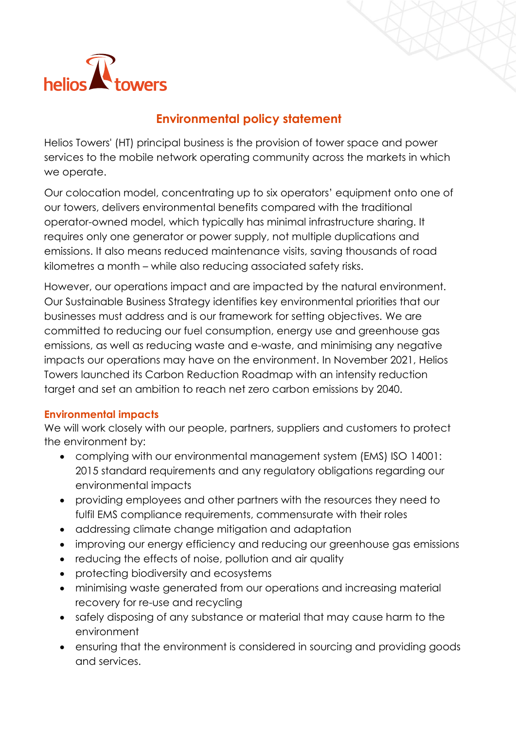

## **Environmental policy statement**

Helios Towers' (HT) principal business is the provision of tower space and power services to the mobile network operating community across the markets in which we operate.

Our colocation model, concentrating up to six operators' equipment onto one of our towers, delivers environmental benefits compared with the traditional operator-owned model, which typically has minimal infrastructure sharing. It requires only one generator or power supply, not multiple duplications and emissions. It also means reduced maintenance visits, saving thousands of road kilometres a month – while also reducing associated safety risks.

However, our operations impact and are impacted by the natural environment. Our Sustainable Business Strategy identifies key environmental priorities that our businesses must address and is our framework for setting objectives. We are committed to reducing our fuel consumption, energy use and greenhouse gas emissions, as well as reducing waste and e-waste, and minimising any negative impacts our operations may have on the environment. In November 2021, Helios Towers launched its Carbon Reduction Roadmap with an intensity reduction target and set an ambition to reach net zero carbon emissions by 2040.

## **Environmental impacts**

We will work closely with our people, partners, suppliers and customers to protect the environment by:

- complying with our environmental management system (EMS) ISO 14001: 2015 standard requirements and any regulatory obligations regarding our environmental impacts
- providing employees and other partners with the resources they need to fulfil EMS compliance requirements, commensurate with their roles
- addressing climate change mitigation and adaptation
- improving our energy efficiency and reducing our greenhouse gas emissions
- reducing the effects of noise, pollution and air quality
- protecting biodiversity and ecosystems
- minimising waste generated from our operations and increasing material recovery for re-use and recycling
- safely disposing of any substance or material that may cause harm to the environment
- ensuring that the environment is considered in sourcing and providing goods and services.